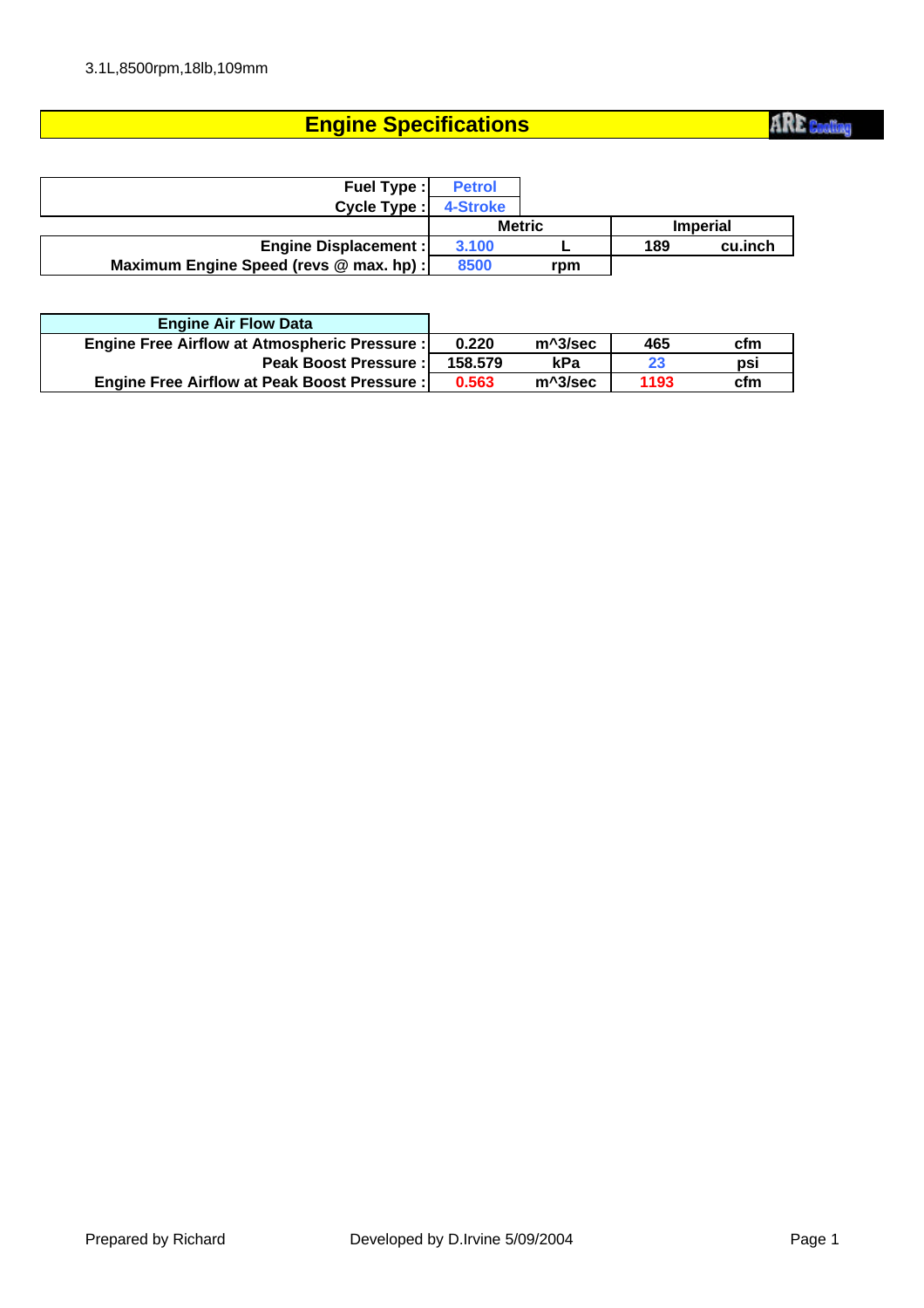## **Engine Specifications**

**ARE** Cooling

| <b>Fuel Type:</b>                       | <b>Petrol</b> |     |                 |         |
|-----------------------------------------|---------------|-----|-----------------|---------|
| Cycle Type:                             | 4-Stroke      |     |                 |         |
|                                         | <b>Metric</b> |     | <b>Imperial</b> |         |
| <b>Engine Displacement:</b>             | 3.100         |     | 189             | cu.inch |
| Maximum Engine Speed (revs @ max. hp) : | 8500          | rpm |                 |         |

| <b>Engine Air Flow Data</b>                   |         |         |      |     |
|-----------------------------------------------|---------|---------|------|-----|
| Engine Free Airflow at Atmospheric Pressure : | 0.220   | m^3/sec | 465  | cfm |
| <b>Peak Boost Pressure:</b>                   | 158.579 | kPa     | 23   | psi |
| Engine Free Airflow at Peak Boost Pressure :  | 0.563   | m^3/sec | 1193 | cfm |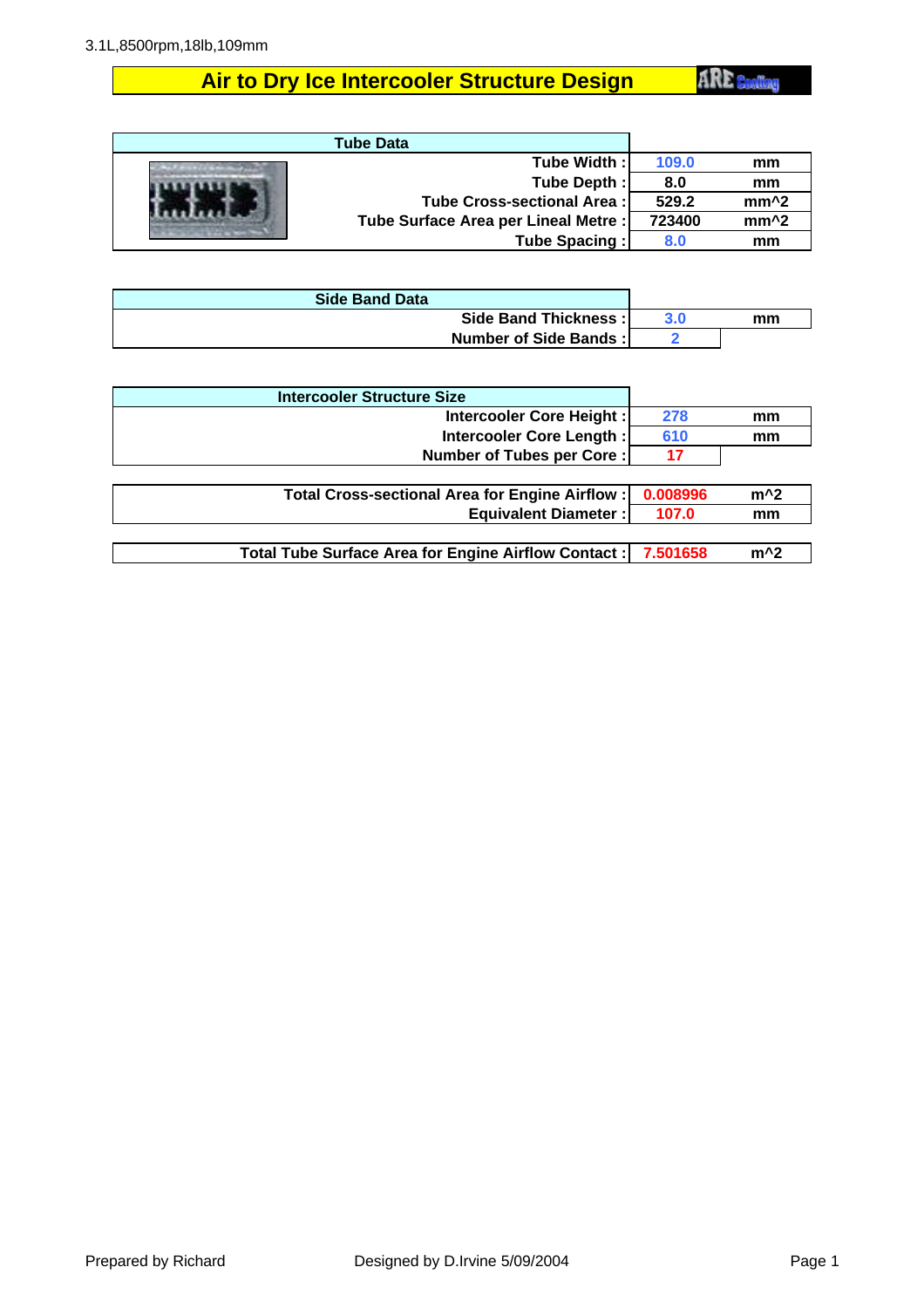## **Air to Dry Ice Intercooler Structure Design**

**ARE** Cooling

| <b>Tube Data</b>                     |        |                  |
|--------------------------------------|--------|------------------|
| Tube Width:                          | 109.0  | mm               |
| Tube Depth:                          | 8.0    | mm               |
| Tube Cross-sectional Area:           | 529.2  | $mm^2$           |
| Tube Surface Area per Lineal Metre : | 723400 | mm <sup>^2</sup> |
| <b>Tube Spacing:</b>                 | 8.0    | mm               |

| <b>Side Band Data</b> |     |    |
|-----------------------|-----|----|
| Side Band Thickness:  | 3.0 | mm |
| Number of Side Bands: |     |    |

| <b>Intercooler Structure Size</b>                    |          |       |
|------------------------------------------------------|----------|-------|
| Intercooler Core Height:                             | 278      | mm    |
| Intercooler Core Length:                             | 610      | mm    |
| Number of Tubes per Core:                            | 17       |       |
|                                                      |          |       |
| Total Cross-sectional Area for Engine Airflow:       | 0.008996 | $m^2$ |
| <b>Equivalent Diameter:</b>                          | 107.0    | mm    |
|                                                      |          |       |
| Total Tube Surface Area for Engine Airflow Contact : | 7.501658 | $m^2$ |